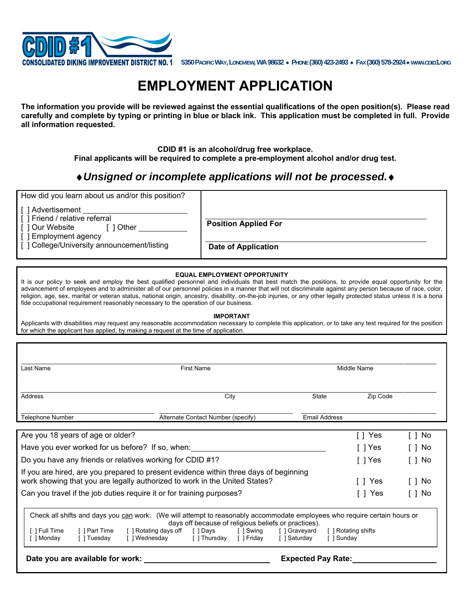

**5350 PACIFIC WAY, LONGVIEW, WA 98632 PHONE (360) 423-2493 FAX (360) 578-2924 WWW.CDID1.ORG**

# **EMPLOYMENT APPLICATION**

**The information you provide will be reviewed against the essential qualifications of the open position(s). Please read carefully and complete by typing or printing in blue or black ink. This application must be completed in full. Provide all information requested.** 

> **CDID #1 is an alcohol/drug free workplace. Final applicants will be required to complete a pre-employment alcohol and/or drug test.**

## *Unsigned or incomplete applications will not be processed.*

| How did you learn about us and/or this position?                                                       |                             |
|--------------------------------------------------------------------------------------------------------|-----------------------------|
| []Advertisement<br>[ ] Friend / relative referral<br>[ ] Our Website<br>Other<br>[ ] Employment agency | <b>Position Applied For</b> |
| [] College/University announcement/listing                                                             | <b>Date of Application</b>  |

### **EQUAL EMPLOYMENT OPPORTUNITY**

It is our policy to seek and employ the best qualified personnel and individuals that best match the positions, to provide equal opportunity for the advancement of employees and to administer all of our personnel policies in a manner that will not discriminate against any person because of race, color, religion, age, sex, marital or veteran status, national origin, ancestry, disability, on-the-job injuries, or any other legally protected status unless it is a bona fide occupational requirement reasonably necessary to the operation of our business.

#### **IMPORTANT**

Applicants with disabilities may request any reasonable accommodation necessary to complete this application, or to take any test required for the position for which the applicant has applied, by making a request at the time of application.

| Last Name                                                                                                                                                                                                                                                                                                                                                                                           | <b>First Name</b> |                                    |  |                           | Middle Name          |                |    |
|-----------------------------------------------------------------------------------------------------------------------------------------------------------------------------------------------------------------------------------------------------------------------------------------------------------------------------------------------------------------------------------------------------|-------------------|------------------------------------|--|---------------------------|----------------------|----------------|----|
| Address                                                                                                                                                                                                                                                                                                                                                                                             |                   | City<br>State                      |  |                           |                      | Zip Code       |    |
| <b>Telephone Number</b>                                                                                                                                                                                                                                                                                                                                                                             |                   | Alternate Contact Number (specify) |  |                           | <b>Email Address</b> |                |    |
| Are you 18 years of age or older?                                                                                                                                                                                                                                                                                                                                                                   |                   |                                    |  |                           | []Yes                | $\cdot$ ] :    | No |
| Have you ever worked for us before? If so, when:                                                                                                                                                                                                                                                                                                                                                    |                   |                                    |  |                           | []Yes                | $\blacksquare$ | No |
| Do you have any friends or relatives working for CDID #1?                                                                                                                                                                                                                                                                                                                                           |                   |                                    |  |                           | 「I Yes」              | $\Box$         | No |
| If you are hired, are you prepared to present evidence within three days of beginning<br>work showing that you are legally authorized to work in the United States?<br>No<br><b>Yes</b><br>[]                                                                                                                                                                                                       |                   |                                    |  |                           |                      |                |    |
| Can you travel if the job duties require it or for training purposes?                                                                                                                                                                                                                                                                                                                               |                   |                                    |  |                           | Yes<br>ΙI            | $\Box$         | No |
| Check all shifts and days you can work: (We will attempt to reasonably accommodate employees who require certain hours or<br>days off because of religious beliefs or practices).<br>[]Full Time<br>[ ] Part Time   [ ] Rotating days off   [ ] Days     [ ] Swing    [ ] Graveyard<br>[ ] Rotating shifts<br>[]Tuesday<br>[] Wednesday [] Thursday [] Friday [] Saturday<br>[ ] Sunday<br>[]Monday |                   |                                    |  |                           |                      |                |    |
| Date you are available for work:                                                                                                                                                                                                                                                                                                                                                                    |                   |                                    |  | <b>Expected Pay Rate:</b> |                      |                |    |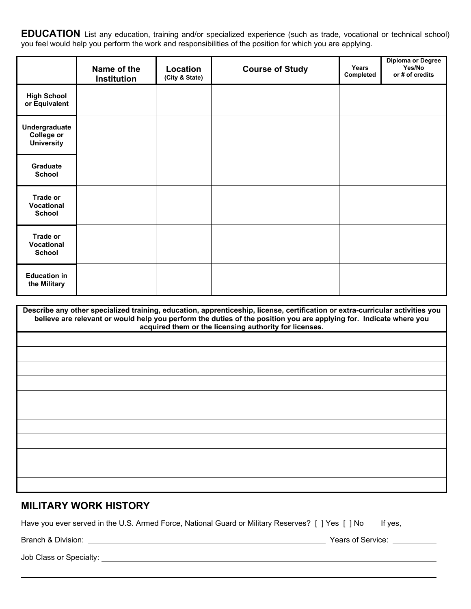**EDUCATION** List any education, training and/or specialized experience (such as trade, vocational or technical school) you feel would help you perform the work and responsibilities of the position for which you are applying.

|                                                         | Name of the<br>Institution | Location<br>(City & State) | <b>Course of Study</b> | Years<br>Completed | Diploma or Degree<br>Yes/No<br>or # of credits |
|---------------------------------------------------------|----------------------------|----------------------------|------------------------|--------------------|------------------------------------------------|
| <b>High School</b><br>or Equivalent                     |                            |                            |                        |                    |                                                |
| Undergraduate<br><b>College or</b><br><b>University</b> |                            |                            |                        |                    |                                                |
| Graduate<br><b>School</b>                               |                            |                            |                        |                    |                                                |
| Trade or<br>Vocational<br><b>School</b>                 |                            |                            |                        |                    |                                                |
| Trade or<br>Vocational<br><b>School</b>                 |                            |                            |                        |                    |                                                |
| <b>Education in</b><br>the Military                     |                            |                            |                        |                    |                                                |

| Describe any other specialized training, education, apprenticeship, license, certification or extra-curricular activities you<br>believe are relevant or would help you perform the duties of the position you are applying for. Indicate where you<br>acquired them or the licensing authority for licenses. |  |  |  |  |
|---------------------------------------------------------------------------------------------------------------------------------------------------------------------------------------------------------------------------------------------------------------------------------------------------------------|--|--|--|--|
|                                                                                                                                                                                                                                                                                                               |  |  |  |  |
|                                                                                                                                                                                                                                                                                                               |  |  |  |  |
|                                                                                                                                                                                                                                                                                                               |  |  |  |  |
|                                                                                                                                                                                                                                                                                                               |  |  |  |  |
|                                                                                                                                                                                                                                                                                                               |  |  |  |  |
|                                                                                                                                                                                                                                                                                                               |  |  |  |  |
|                                                                                                                                                                                                                                                                                                               |  |  |  |  |
|                                                                                                                                                                                                                                                                                                               |  |  |  |  |
|                                                                                                                                                                                                                                                                                                               |  |  |  |  |
|                                                                                                                                                                                                                                                                                                               |  |  |  |  |
|                                                                                                                                                                                                                                                                                                               |  |  |  |  |

## **MILITARY WORK HISTORY**

Have you ever served in the U.S. Armed Force, National Guard or Military Reserves? [ ] Yes [ ] No If yes,

 $\overline{a}$ 

Branch & Division: Years of Service:

Job Class or Specialty: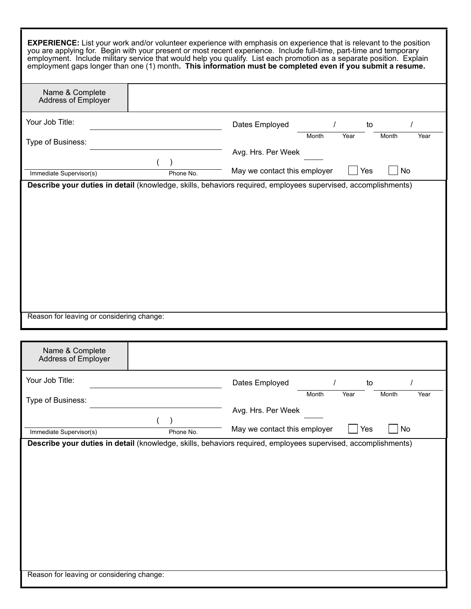|                                               |           | <b>EXPERIENCE:</b> List your work and/or volunteer experience with emphasis on experience that is relevant to the position<br>you are applying for. Begin with your present or most recent experience. Include full-time, part-time and temporary<br>employment. Include military service that would help you qualify. List each promotion as a separate position. Explain<br>employment gaps longer than one (1) month. This information must be completed even if you submit a resume. |  |  |
|-----------------------------------------------|-----------|------------------------------------------------------------------------------------------------------------------------------------------------------------------------------------------------------------------------------------------------------------------------------------------------------------------------------------------------------------------------------------------------------------------------------------------------------------------------------------------|--|--|
| Name & Complete<br>Address of Employer        |           |                                                                                                                                                                                                                                                                                                                                                                                                                                                                                          |  |  |
| Your Job Title:                               |           | Dates Employed<br>to                                                                                                                                                                                                                                                                                                                                                                                                                                                                     |  |  |
| Type of Business:                             |           | Year<br>Month<br>Year<br>Month                                                                                                                                                                                                                                                                                                                                                                                                                                                           |  |  |
|                                               |           | Avg. Hrs. Per Week                                                                                                                                                                                                                                                                                                                                                                                                                                                                       |  |  |
| Immediate Supervisor(s)                       | Phone No. | No<br>May we contact this employer<br>Yes<br>Describe your duties in detail (knowledge, skills, behaviors required, employees supervised, accomplishments)                                                                                                                                                                                                                                                                                                                               |  |  |
| Reason for leaving or considering change:     |           |                                                                                                                                                                                                                                                                                                                                                                                                                                                                                          |  |  |
|                                               |           |                                                                                                                                                                                                                                                                                                                                                                                                                                                                                          |  |  |
| Name & Complete<br><b>Address of Employer</b> |           |                                                                                                                                                                                                                                                                                                                                                                                                                                                                                          |  |  |
| Your Job Title:                               |           | Dates Employed<br>to                                                                                                                                                                                                                                                                                                                                                                                                                                                                     |  |  |
| Type of Business:                             |           | Month<br>Year<br>Year<br>Month                                                                                                                                                                                                                                                                                                                                                                                                                                                           |  |  |
|                                               |           | Avg. Hrs. Per Week                                                                                                                                                                                                                                                                                                                                                                                                                                                                       |  |  |
| Immediate Supervisor(s)                       | Phone No. | No<br>May we contact this employer<br>Yes                                                                                                                                                                                                                                                                                                                                                                                                                                                |  |  |
|                                               |           | Describe your duties in detail (knowledge, skills, behaviors required, employees supervised, accomplishments)                                                                                                                                                                                                                                                                                                                                                                            |  |  |
| Reason for leaving or considering change:     |           |                                                                                                                                                                                                                                                                                                                                                                                                                                                                                          |  |  |

Г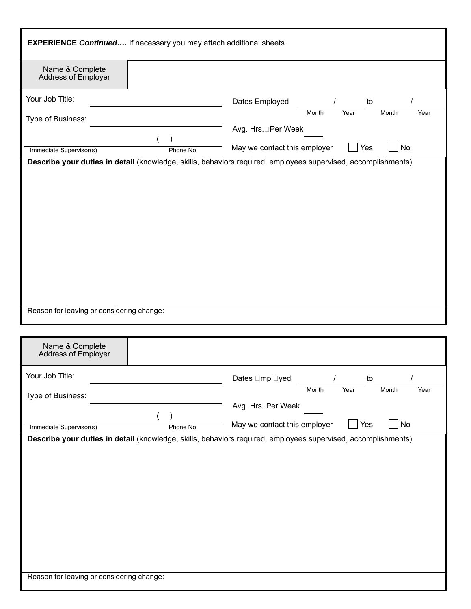| <b>EXPERIENCE Continued</b> If necessary you may attach additional sheets.                                                                            |                                           |
|-------------------------------------------------------------------------------------------------------------------------------------------------------|-------------------------------------------|
| Name & Complete<br>Address of Employer                                                                                                                |                                           |
| Your Job Title:                                                                                                                                       | Dates Employed<br>to                      |
| Type of Business:                                                                                                                                     | Month<br>Month<br>Year<br>Year            |
|                                                                                                                                                       | Avg. Hrs.□Per Week                        |
| Immediate Supervisor(s)<br>Phone No.<br>Describe your duties in detail (knowledge, skills, behaviors required, employees supervised, accomplishments) | Yes<br>No<br>May we contact this employer |
|                                                                                                                                                       |                                           |
| Reason for leaving or considering change:                                                                                                             |                                           |
| Name & Complete<br>Address of Employer                                                                                                                |                                           |
| Your Job Title:                                                                                                                                       | Dates □mpl□yed<br>to                      |
| Type of Business:                                                                                                                                     | Year<br>Month<br>Year<br>Month            |
|                                                                                                                                                       | Avg. Hrs. Per Week                        |
| Immediate Supervisor(s)<br>Phone No.                                                                                                                  | May we contact this employer<br>Yes<br>No |
| Describe your duties in detail (knowledge, skills, behaviors required, employees supervised, accomplishments)                                         |                                           |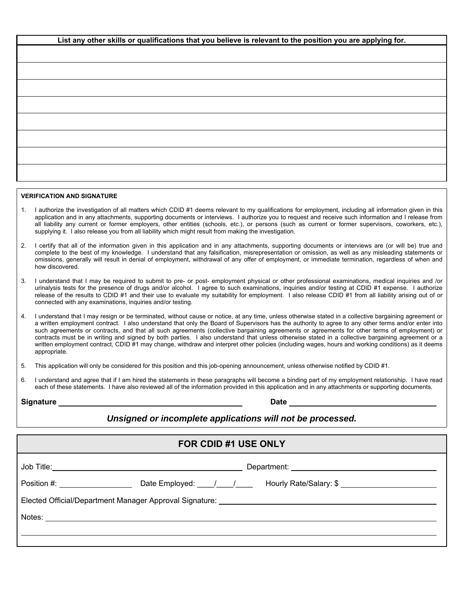| List any other skills or qualifications that you believe is relevant to the position you are applying for. |
|------------------------------------------------------------------------------------------------------------|
|                                                                                                            |
|                                                                                                            |
|                                                                                                            |
|                                                                                                            |
|                                                                                                            |
|                                                                                                            |
|                                                                                                            |
|                                                                                                            |
|                                                                                                            |
|                                                                                                            |
|                                                                                                            |
|                                                                                                            |

### **VERIFICATION AND SIGNATURE**

- 1. I authorize the investigation of all matters which CDID #1 deems relevant to my qualifications for employment, including all information given in this application and in any attachments, supporting documents or interviews. I authorize you to request and receive such information and I release from all liability any current or former employers, other entities (schools, etc.), or persons (such as current or former supervisors, coworkers, etc.), supplying it. I also release you from all liability which might result from making the investigation.
- 2. I certify that all of the information given in this application and in any attachments, supporting documents or interviews are (or will be) true and complete to the best of my knowledge. I understand that any falsification, misrepresentation or omission, as well as any misleading statements or omissions, generally will result in denial of employment, withdrawal of any offer of employment, or immediate termination, regardless of when and how discovered.
- 3. I understand that I may be required to submit to pre- or post- employment physical or other professional examinations, medical inquiries and /or urinalysis tests for the presence of drugs and/or alcohol. I agree to such examinations, inquiries and/or testing at CDID #1 expense. I authorize release of the results to CDID #1 and their use to evaluate my suitability for employment. I also release CDID #1 from all liability arising out of or connected with any examinations, inquiries and/or testing.
- 4. I understand that I may resign or be terminated, without cause or notice, at any time, unless otherwise stated in a collective bargaining agreement or a written employment contract. I also understand that only the Board of Supervisors has the authority to agree to any other terms and/or enter into such agreements or contracts, and that all such agreements (collective bargaining agreements or agreements for other terms of employment) or contracts must be in writing and signed by both parties. I also understand that unless otherwise stated in a collective bargaining agreement or a written employment contract, CDID #1 may change, withdraw and interpret other policies (including wages, hours and working conditions) as it deems appropriate.

5. This application will only be considered for this position and this job-opening announcement, unless otherwise notified by CDID #1.

6. I understand and agree that if I am hired the statements in these paragraphs will become a binding part of my employment relationship. I have read each of these statements. I have also reviewed all of the information provided in this application and in any attachments or supporting documents.

| <b>Signature</b> | Date |
|------------------|------|
|                  |      |

## *Unsigned or incomplete applications will not be processed.*

| <b>FOR CDID #1 USE ONLY</b>                                                      |                                                                                                      |  |  |  |
|----------------------------------------------------------------------------------|------------------------------------------------------------------------------------------------------|--|--|--|
|                                                                                  |                                                                                                      |  |  |  |
|                                                                                  | Position #: _________________________Date Employed: ____/____/ Hourly Rate/Salary: \$ ______________ |  |  |  |
| Elected Official/Department Manager Approval Signature: ________________________ |                                                                                                      |  |  |  |
|                                                                                  |                                                                                                      |  |  |  |
|                                                                                  |                                                                                                      |  |  |  |